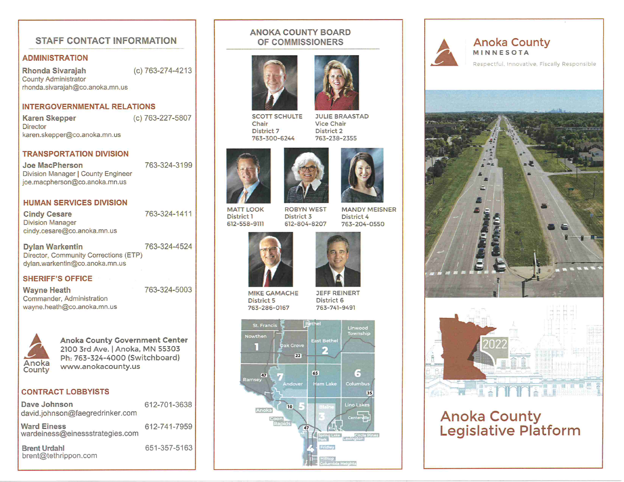## STAFF CONTACT INFORMATION

### ADMINISTRATION

Rhonda Sivarajah (c) 763-274-4213 County Administrator rhonda.sivarajah@co.anoka.mn.us

### INTERGOVERNMENTAL RELATIONS

Karen Skepper (c) 763-227-5807 **Director** karen.skepper@co.anoka.mn.us

763-324-3199

#### **TRANSPORTATION DIVISION**

Joe MacPherson **Division Manager | County Engineer** joe.macpherson@co.anoka.mn.us

#### **HUMAN SERVICES DIVISION**

Cindy Cesare Division Manager cindy.cesare@co.anoka.mn.us 763-324-1411

Dylan Warkentin 763-324-4524 Director, Community Corrections (ETP) dylan.warkentin@co.anoka.mn.us

SHERIFF'S OFFICE

Wayne Heath Commander, Administration wayne.heath@co.anoka.mn.us 763-324-5003



Anoka County Government Center 2100 3rd Ave. | Anoka, MN 55303 Ph: 763-324-4000 (Switchboard) www-anokacounty.us

### CONTRACT LOBBYISTS

| Dave Johnson<br>david.johnson@faegredrinker.com       | 612-701-3638 |  |
|-------------------------------------------------------|--------------|--|
| <b>Ward Einess</b><br>wardeiness@einessstrategies.com | 612-741-7959 |  |
| <b>Brent Urdahl</b><br>brent@tethrippon.com           | 651-357-5163 |  |

### ANOKA COUNTY BOARD OF COMMISSIONERS





SCOTT SCHULTE Chair District 7 763-300-6244

JULIE BRAASTAD Vice Chair District 2 763-238-2355





MANDY MEISNER

MATT LOOK District 1 612-558-9m ROBYN WEST District 3 612-804-8207

District 4 763-204-0550





MIKE GAMACHE District 5 763-286-0167

JEFF REINERT District 6 763-7 41-9491





### Anoka County MINNESOTA Respectful, Innovative, Fiscally Responsible





# Anoka Cour Legislative Platfo